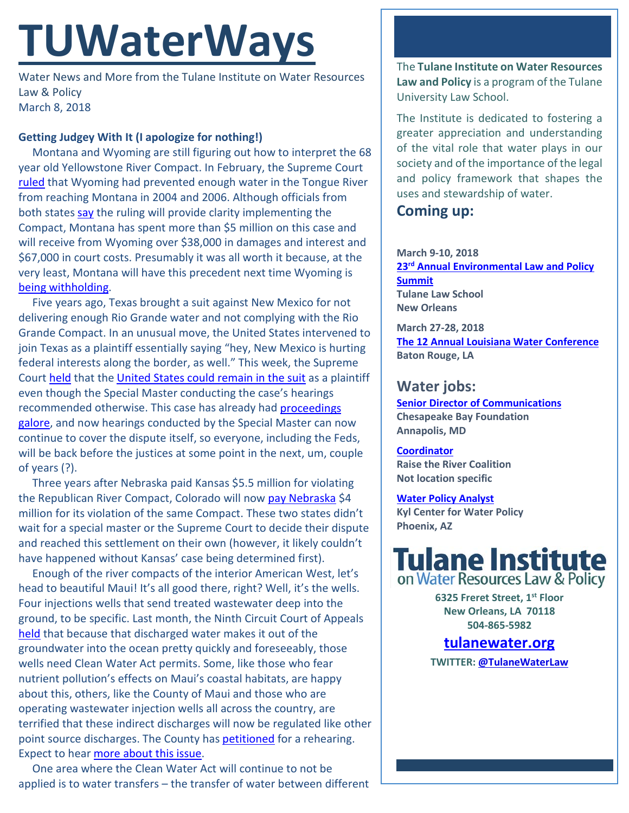# **TUWaterWays**

Water News and More from the Tulane Institute on Water Resources Law & Policy March 8, 2018

### **Getting Judgey With It (I apologize for nothing!)**

Montana and Wyoming are still figuring out how to interpret the 68 year old Yellowstone River Compact. In February, the Supreme Court [ruled](https://www.supremecourt.gov/opinions/17pdf/137orig_new_2cp3.pdf) that Wyoming had prevented enough water in the Tongue River from reaching Montana in 2004 and 2006. Although officials from both states [say](https://apnews.com/a7c29d58d15a43df8f60abb0a1a02fe9/US-Supreme-Court:-Wyoming-must-pay-Montana-in-water-dispute) the ruling will provide clarity implementing the Compact, Montana has spent more than \$5 million on this case and will receive from Wyoming over \$38,000 in damages and interest and \$67,000 in court costs. Presumably it was all worth it because, at the very least, Montana will have this precedent next time Wyoming is [being withholding.](https://www.youtube.com/watch?v=trdQk1dQt-w)

Five years ago, Texas brought a suit against New Mexico for not delivering enough Rio Grande water and not complying with the Rio Grande Compact. In an unusual move, the United States intervened to join Texas as a plaintiff essentially saying "hey, New Mexico is hurting federal interests along the border, as well." This week, the Supreme Court [held](https://www.supremecourt.gov/opinions/17pdf/141orig_f204.pdf) that the [United States could remain in the suit](http://www.scotusblog.com/2018/03/opinion-analysis-texas-compact-claims-new-mexico-rio-grande-river-leave-room-united-states-claims-well/) as a plaintiff even though the Special Master conducting the case's hearings recommended otherwise. This case has already ha[d proceedings](http://www.scotusblog.com/case-files/cases/texas-v-new-mexico-and-colorado/)  [galore,](http://www.scotusblog.com/case-files/cases/texas-v-new-mexico-and-colorado/) and now hearings conducted by the Special Master can now continue to cover the dispute itself, so everyone, including the Feds, will be back before the justices at some point in the next, um, couple of years (?).

Three years after Nebraska paid Kansas \$5.5 million for violating the Republican River Compact, Colorado will now [pay Nebraska](http://www.omaha.com/news/nebraska/colorado-will-pay-nebraska-million-in-republican-river-settlement/article_781d1639-e7b7-5796-b7df-35380d6a083a.html) \$4 million for its violation of the same Compact. These two states didn't wait for a special master or the Supreme Court to decide their dispute and reached this settlement on their own (however, it likely couldn't have happened without Kansas' case being determined first).

Enough of the river compacts of the interior American West, let's head to beautiful Maui! It's all good there, right? Well, it's the wells. Four injections wells that send treated wastewater deep into the ground, to be specific. Last month, the Ninth Circuit Court of Appeals [held](http://cdn.ca9.uscourts.gov/datastore/opinions/2018/02/01/15-17447.pdf) that because that discharged water makes it out of the groundwater into the ocean pretty quickly and foreseeably, those wells need Clean Water Act permits. Some, like those who fear nutrient pollution's effects on Maui's coastal habitats, are happy about this, others, like the County of Maui and those who are operating wastewater injection wells all across the country, are terrified that these indirect discharges will now be regulated like other point source discharges. The County has **petitioned** for a rehearing. Expect to hear [more about this issue.](http://legal-planet.org/2018/02/09/ninth-circuit-rules-clean-water-act-permit-required-for-indirect-discharge-to-ocean-waters/)

One area where the Clean Water Act will continue to not be applied is to water transfers – the transfer of water between different The **Tulane Institute on Water Resources Law and Policy** is a program of the Tulane University Law School.

The Institute is dedicated to fostering a greater appreciation and understanding of the vital role that water plays in our society and of the importance of the legal and policy framework that shapes the uses and stewardship of water.

## **Coming up:**

#### **March 9-10, 2018 23rd [Annual Environmental Law and Policy](https://tulaneenvironmentallawsummit.com/)  [Summit](https://tulaneenvironmentallawsummit.com/) Tulane Law School**

**New Orleans**

**March 27-28, 2018 [The 12 Annual Louisiana Water Conference](https://easychair.org/cfp/lawater_2018) Baton Rouge, LA**

## **Water jobs:**

**[Senior Director of Communications](http://www.cbf.org/about-cbf/jobs-internships/jobs/senior-director-of.html) Chesapeake Bay Foundation Annapolis, MD**

#### **[Coordinator](https://raisetheriver.org/raise-river-job-opportunity-coordinator/)**

**Raise the River Coalition Not location specific**

#### **[Water Policy Analyst](https://sjobs.brassring.com/TGnewUI/Search/home/HomeWithPreLoad?partnerid=25620&siteid=5494&PageType=JobDetails&jobid=3367158#jobDetails=3367158_5494)**

**Kyl Center for Water Policy Phoenix, AZ**



**6325 Freret Street, 1st Floor New Orleans, LA 70118 504-865-5982** 

## **tulanewater.org**

**TWITTER[: @TulaneWaterLaw](http://www.twitter.com/TulaneWaterLaw)**